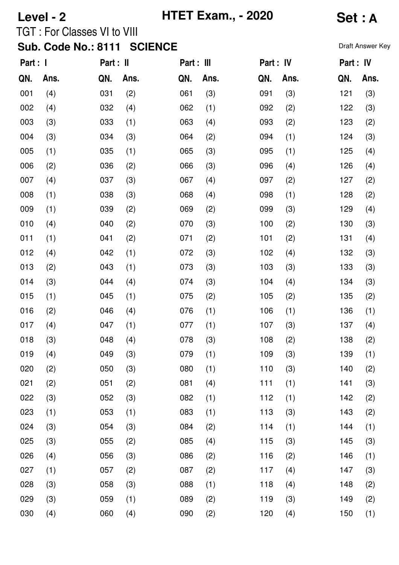|          | Level - 2 | <b>TGT: For Classes VI to VIII</b><br><b>Sub. Code No.: 8111</b> |      | <b>HTET Exam., - 2020</b><br><b>SCIENCE</b> | Set: A<br>Draft Answer Key |           |      |           |      |
|----------|-----------|------------------------------------------------------------------|------|---------------------------------------------|----------------------------|-----------|------|-----------|------|
| Part : I |           | Part : II                                                        |      | Part : III                                  |                            | Part : IV |      | Part : IV |      |
| QN.      | Ans.      | QN.                                                              | Ans. | QN.                                         | Ans.                       | QN.       | Ans. | QN.       | Ans. |
| 001      | (4)       | 031                                                              | (2)  | 061                                         | (3)                        | 091       | (3)  | 121       | (3)  |
| 002      | (4)       | 032                                                              | (4)  | 062                                         | (1)                        | 092       | (2)  | 122       | (3)  |
| 003      | (3)       | 033                                                              | (1)  | 063                                         | (4)                        | 093       | (2)  | 123       | (2)  |
| 004      | (3)       | 034                                                              | (3)  | 064                                         | (2)                        | 094       | (1)  | 124       | (3)  |
| 005      | (1)       | 035                                                              | (1)  | 065                                         | (3)                        | 095       | (1)  | 125       | (4)  |
| 006      | (2)       | 036                                                              | (2)  | 066                                         | (3)                        | 096       | (4)  | 126       | (4)  |
| 007      | (4)       | 037                                                              | (3)  | 067                                         | (4)                        | 097       | (2)  | 127       | (2)  |
| 008      | (1)       | 038                                                              | (3)  | 068                                         | (4)                        | 098       | (1)  | 128       | (2)  |

009

010

011

012

013

014

015

016

017

018

| (2) | 036 | (2) | 066 | (3) | 096 | (4) | 126 | (4) |
|-----|-----|-----|-----|-----|-----|-----|-----|-----|
| (4) | 037 | (3) | 067 | (4) | 097 | (2) | 127 | (2) |
| (1) | 038 | (3) | 068 | (4) | 098 | (1) | 128 | (2) |
| (1) | 039 | (2) | 069 | (2) | 099 | (3) | 129 | (4) |
| (4) | 040 | (2) | 070 | (3) | 100 | (2) | 130 | (3) |
| (1) | 041 | (2) | 071 | (2) | 101 | (2) | 131 | (4) |
| (4) | 042 | (1) | 072 | (3) | 102 | (4) | 132 | (3) |
| (2) | 043 | (1) | 073 | (3) | 103 | (3) | 133 | (3) |
| (3) | 044 | (4) | 074 | (3) | 104 | (4) | 134 | (3) |
| (1) | 045 | (1) | 075 | (2) | 105 | (2) | 135 | (2) |
| (2) | 046 | (4) | 076 | (1) | 106 | (1) | 136 | (1) |
| (4) | 047 | (1) | 077 | (1) | 107 | (3) | 137 | (4) |
| (3) | 048 | (4) | 078 | (3) | 108 | (2) | 138 | (2) |
| (4) | 049 | (3) | 079 | (1) | 109 | (3) | 139 | (1) |
| (2) | 050 | (3) | 080 | (1) | 110 | (3) | 140 | (2) |
| (2) | 051 | (2) | 081 | (4) | 111 | (1) | 141 | (3) |
| (3) | 052 | (3) | 082 | (1) | 112 | (1) | 142 | (2) |

| 019 | (4) | 049 | (3) | 079 | (1) | 109 | (3) | 139 | (1) |
|-----|-----|-----|-----|-----|-----|-----|-----|-----|-----|
| 020 | (2) | 050 | (3) | 080 | (1) | 110 | (3) | 140 | (2) |
| 021 | (2) | 051 | (2) | 081 | (4) | 111 | (1) | 141 | (3) |
| 022 | (3) | 052 | (3) | 082 | (1) | 112 | (1) | 142 | (2) |
| 023 | (1) | 053 | (1) | 083 | (1) | 113 | (3) | 143 | (2) |
| 024 | (3) | 054 | (3) | 084 | (2) | 114 | (1) | 144 | (1) |
| 025 | (3) | 055 | (2) | 085 | (4) | 115 | (3) | 145 | (3) |
| 026 | (4) | 056 | (3) | 086 | (2) | 116 | (2) | 146 | (1) |
| 027 | (1) | 057 | (2) | 087 | (2) | 117 | (4) | 147 | (3) |
| 028 | (3) | 058 | (3) | 088 | (1) | 118 | (4) | 148 | (2) |
| 029 | (3) | 059 | (1) | 089 | (2) | 119 | (3) | 149 | (2) |
| 030 | (4) | 060 | (4) | 090 | (2) | 120 | (4) | 150 | (1) |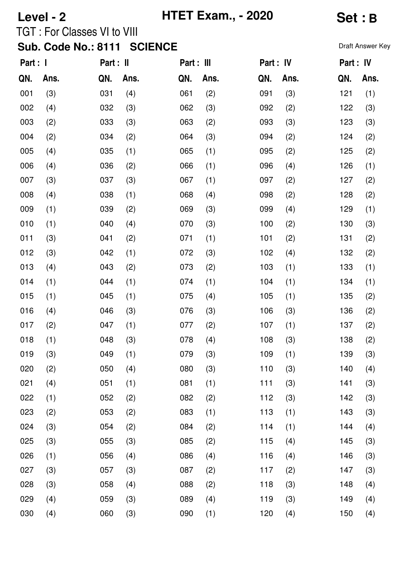|          | Level - 2 | <b>TGT: For Classes VI to VIII</b><br>Sub. Code No.: 8111 SCIENCE |      |            | <b>HTET Exam., - 2020</b> | Set: B<br>Draft Answer Key |      |           |      |  |
|----------|-----------|-------------------------------------------------------------------|------|------------|---------------------------|----------------------------|------|-----------|------|--|
| Part : I |           | Part : II                                                         |      | Part : III |                           | Part : IV                  |      | Part : IV |      |  |
| QN.      | Ans.      | QN.                                                               | Ans. | QN.        | Ans.                      | QN.                        | Ans. | QN.       | Ans. |  |
| 001      | (3)       | 031                                                               | (4)  | 061        | (2)                       | 091                        | (3)  | 121       | (1)  |  |
| 002      | (4)       | 032                                                               | (3)  | 062        | (3)                       | 092                        | (2)  | 122       | (3)  |  |
| 003      | (2)       | 033                                                               | (3)  | 063        | (2)                       | 093                        | (3)  | 123       | (3)  |  |
| 004      | (2)       | 034                                                               | (2)  | 064        | (3)                       | 094                        | (2)  | 124       | (2)  |  |
| 005      | (4)       | 035                                                               | (1)  | 065        | (1)                       | 095                        | (2)  | 125       | (2)  |  |
| 00G      | (4)       | በ36.                                                              | (2)  | 066.       | (1)                       | 096.                       | (4)  | 126.      | (1)  |  |

| 001 | (3) | 031 | (4) | 061 | (2) | 091 | (3) | 121 | (1) |
|-----|-----|-----|-----|-----|-----|-----|-----|-----|-----|
| 002 | (4) | 032 | (3) | 062 | (3) | 092 | (2) | 122 | (3) |
| 003 | (2) | 033 | (3) | 063 | (2) | 093 | (3) | 123 | (3) |
| 004 | (2) | 034 | (2) | 064 | (3) | 094 | (2) | 124 | (2) |
| 005 | (4) | 035 | (1) | 065 | (1) | 095 | (2) | 125 | (2) |
| 006 | (4) | 036 | (2) | 066 | (1) | 096 | (4) | 126 | (1) |
| 007 | (3) | 037 | (3) | 067 | (1) | 097 | (2) | 127 | (2) |
| 008 | (4) | 038 | (1) | 068 | (4) | 098 | (2) | 128 | (2) |
| 009 | (1) | 039 | (2) | 069 | (3) | 099 | (4) | 129 | (1) |
| 010 | (1) | 040 | (4) | 070 | (3) | 100 | (2) | 130 | (3) |
| 011 | (3) | 041 | (2) | 071 | (1) | 101 | (2) | 131 | (2) |
| 012 | (3) | 042 | (1) | 072 | (3) | 102 | (4) | 132 | (2) |
| 013 | (4) | 043 | (2) | 073 | (2) | 103 | (1) | 133 | (1) |
| 014 | (1) | 044 | (1) | 074 | (1) | 104 | (1) | 134 | (1) |
| 015 | (1) | 045 | (1) | 075 | (4) | 105 | (1) | 135 | (2) |
| 016 | (4) | 046 | (3) | 076 | (3) | 106 | (3) | 136 | (2) |
| 017 | (2) | 047 | (1) | 077 | (2) | 107 | (1) | 137 | (2) |
| 018 | (1) | 048 | (3) | 078 | (4) | 108 | (3) | 138 | (2) |
| 019 | (3) | 049 | (1) | 079 | (3) | 109 | (1) | 139 | (3) |
| 020 | (2) | 050 | (4) | 080 | (3) | 110 | (3) | 140 | (4) |
| 021 | (4) | 051 | (1) | 081 | (1) | 111 | (3) | 141 | (3) |
| 022 | (1) | 052 | (2) | 082 | (2) | 112 | (3) | 142 | (3) |
| 023 | (2) | 053 | (2) | 083 | (1) | 113 | (1) | 143 | (3) |
| 024 | (3) | 054 | (2) | 084 | (2) | 114 | (1) | 144 | (4) |
| 025 | (3) | 055 | (3) | 085 | (2) | 115 | (4) | 145 | (3) |
| 026 | (1) | 056 | (4) | 086 | (4) | 116 | (4) | 146 | (3) |
| 027 | (3) | 057 | (3) | 087 | (2) | 117 | (2) | 147 | (3) |
| 028 | (3) | 058 | (4) | 088 | (2) | 118 | (3) | 148 | (4) |
| 029 | (4) | 059 | (3) | 089 | (4) | 119 | (3) | 149 | (4) |
| 030 | (4) | 060 | (3) | 090 | (1) | 120 | (4) | 150 | (4) |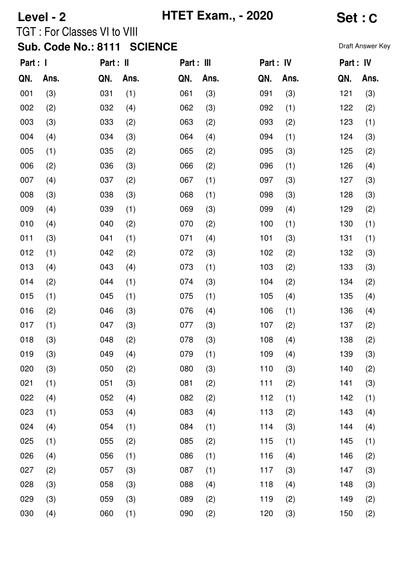| Level - 2   |                                    | <b>HTET Exam., - 2020</b> | Set: C      |                     |  |
|-------------|------------------------------------|---------------------------|-------------|---------------------|--|
|             | <b>TGT: For Classes VI to VIII</b> |                           |             |                     |  |
|             | Sub. Code No.: 8111 SCIENCE        |                           |             | <b>Draft Answer</b> |  |
| Part : I    | Part : II                          | Part : III                | Part : IV   | Part : IV           |  |
| Ans.<br>QN. | QN. Ans.                           | Ans.<br>QN.               | Ans.<br>QN. | Ans<br>QN.          |  |
|             |                                    |                           |             |                     |  |

**Draft Answer Key** 

| QN. | Ans. | QN. | Ans. | QN. | Ans. | QN. | Ans. | QN. | Ans. |
|-----|------|-----|------|-----|------|-----|------|-----|------|
| 001 | (3)  | 031 | (1)  | 061 | (3)  | 091 | (3)  | 121 | (3)  |
| 002 | (2)  | 032 | (4)  | 062 | (3)  | 092 | (1)  | 122 | (2)  |
| 003 | (3)  | 033 | (2)  | 063 | (2)  | 093 | (2)  | 123 | (1)  |
| 004 | (4)  | 034 | (3)  | 064 | (4)  | 094 | (1)  | 124 | (3)  |
| 005 | (1)  | 035 | (2)  | 065 | (2)  | 095 | (3)  | 125 | (2)  |
| 006 | (2)  | 036 | (3)  | 066 | (2)  | 096 | (1)  | 126 | (4)  |
| 007 | (4)  | 037 | (2)  | 067 | (1)  | 097 | (3)  | 127 | (3)  |
| 008 | (3)  | 038 | (3)  | 068 | (1)  | 098 | (3)  | 128 | (3)  |
| 009 | (4)  | 039 | (1)  | 069 | (3)  | 099 | (4)  | 129 | (2)  |
| 010 | (4)  | 040 | (2)  | 070 | (2)  | 100 | (1)  | 130 | (1)  |
| 011 | (3)  | 041 | (1)  | 071 | (4)  | 101 | (3)  | 131 | (1)  |
| 012 | (1)  | 042 | (2)  | 072 | (3)  | 102 | (2)  | 132 | (3)  |
| 013 | (4)  | 043 | (4)  | 073 | (1)  | 103 | (2)  | 133 | (3)  |
| 014 | (2)  | 044 | (1)  | 074 | (3)  | 104 | (2)  | 134 | (2)  |
| 015 | (1)  | 045 | (1)  | 075 | (1)  | 105 | (4)  | 135 | (4)  |
| 016 | (2)  | 046 | (3)  | 076 | (4)  | 106 | (1)  | 136 | (4)  |
| 017 | (1)  | 047 | (3)  | 077 | (3)  | 107 | (2)  | 137 | (2)  |
| 018 | (3)  | 048 | (2)  | 078 | (3)  | 108 | (4)  | 138 | (2)  |
| 019 | (3)  | 049 | (4)  | 079 | (1)  | 109 | (4)  | 139 | (3)  |
| 020 | (3)  | 050 | (2)  | 080 | (3)  | 110 | (3)  | 140 | (2)  |
| 021 | (1)  | 051 | (3)  | 081 | (2)  | 111 | (2)  | 141 | (3)  |
| 022 | (4)  | 052 | (4)  | 082 | (2)  | 112 | (1)  | 142 | (1)  |
| 023 | (1)  | 053 | (4)  | 083 | (4)  | 113 | (2)  | 143 | (4)  |
| 024 | (4)  | 054 | (1)  | 084 | (1)  | 114 | (3)  | 144 | (4)  |
| 025 | (1)  | 055 | (2)  | 085 | (2)  | 115 | (1)  | 145 | (1)  |
| 026 | (4)  | 056 | (1)  | 086 | (1)  | 116 | (4)  | 146 | (2)  |
| 027 | (2)  | 057 | (3)  | 087 | (1)  | 117 | (3)  | 147 | (3)  |
| 028 | (3)  | 058 | (3)  | 088 | (4)  | 118 | (4)  | 148 | (3)  |
| 029 | (3)  | 059 | (3)  | 089 | (2)  | 119 | (2)  | 149 | (2)  |
| 030 | (4)  | 060 | (1)  | 090 | (2)  | 120 | (3)  | 150 | (2)  |